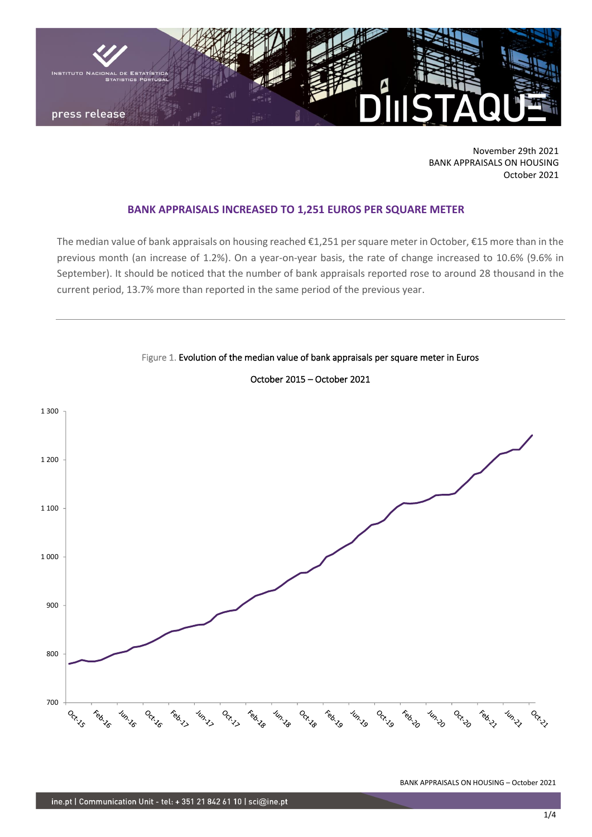

November 29th 2021 BANK APPRAISALS ON HOUSING October 2021

## **BANK APPRAISALS INCREASED TO 1,251 EUROS PER SQUARE METER**

The median value of bank appraisals on housing reached €1,251 per square meter in October, €15 more than in the previous month (an increase of 1.2%). On a year-on-year basis, the rate of change increased to 10.6% (9.6% in September). It should be noticed that the number of bank appraisals reported rose to around 28 thousand in the current period, 13.7% more than reported in the same period of the previous year.

### Figure 1. Evolution of the median value of bank appraisals per square meter in Euros



October 2015 – October 2021

BANK APPRAISALS ON HOUSING – October 2021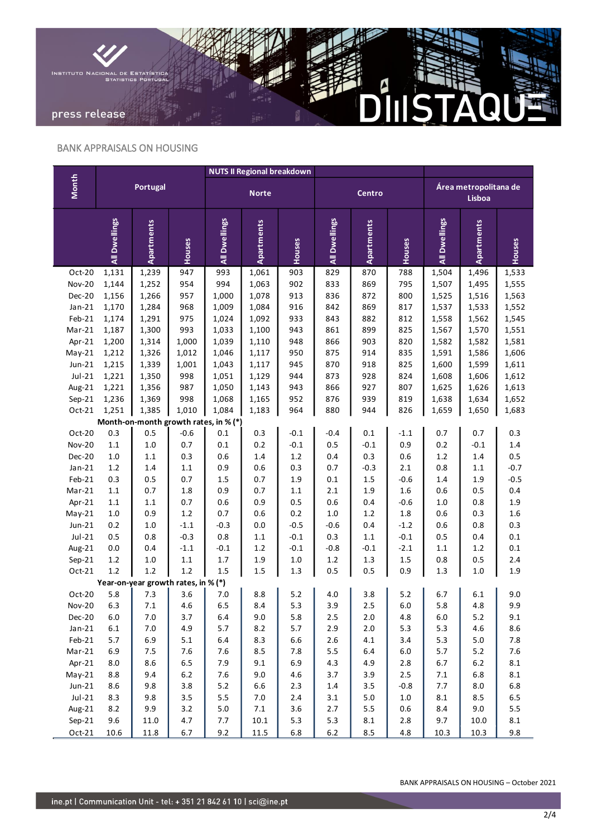

## BANK APPRAISALS ON HOUSING

|                                       |               |                   |                                     |               | <b>NUTS II Regional breakdown</b> |         |               |                   |               |               |                                 |         |  |
|---------------------------------------|---------------|-------------------|-------------------------------------|---------------|-----------------------------------|---------|---------------|-------------------|---------------|---------------|---------------------------------|---------|--|
| Month                                 |               |                   | Portugal                            |               | <b>Norte</b>                      |         |               | <b>Centro</b>     |               |               | Área metropolitana de<br>Lisboa |         |  |
|                                       | All Dwellings | <b>Apartments</b> | Houses                              | All Dwellings | <b>Apartments</b>                 | Houses  | All Dwellings | <b>Apartments</b> | <b>Houses</b> | All Dwellings | Apartments                      | Houses  |  |
| Oct-20                                | 1,131         | 1,239             | 947                                 | 993           | 1,061                             | 903     | 829           | 870               | 788           | 1,504         | 1,496                           | 1,533   |  |
| <b>Nov-20</b>                         | 1,144         | 1,252             | 954                                 | 994           | 1,063                             | 902     | 833           | 869               | 795           | 1,507         | 1,495                           | 1,555   |  |
| <b>Dec-20</b>                         | 1,156         | 1,266             | 957                                 | 1,000         | 1,078                             | 913     | 836           | 872               | 800           | 1,525         | 1,516                           | 1,563   |  |
| $Jan-21$                              | 1,170         | 1,284             | 968                                 | 1,009         | 1,084                             | 916     | 842           | 869               | 817           | 1,537         | 1,533                           | 1,552   |  |
| Feb-21                                | 1,174         | 1,291             | 975                                 | 1,024         | 1,092                             | 933     | 843           | 882               | 812           | 1,558         | 1,562                           | 1,545   |  |
| Mar-21                                | 1,187         | 1,300             | 993                                 | 1,033         | 1,100                             | 943     | 861           | 899               | 825           | 1,567         | 1,570                           | 1,551   |  |
| Apr-21                                | 1,200         | 1,314             | 1,000                               | 1,039         | 1,110                             | 948     | 866           | 903               | 820           | 1,582         | 1,582                           | 1,581   |  |
| $May-21$                              | 1,212         | 1,326             | 1,012                               | 1,046         | 1,117                             | 950     | 875           | 914               | 835           | 1,591         | 1,586                           | 1,606   |  |
| $Jun-21$                              | 1,215         | 1,339             | 1,001                               | 1,043         | 1,117                             | 945     | 870           | 918               | 825           | 1,600         | 1,599                           | 1,611   |  |
| $Jul-21$                              | 1,221         | 1,350             | 998                                 | 1,051         | 1,129                             | 944     | 873           | 928               | 824           | 1,608         | 1,606                           | 1,612   |  |
| Aug-21                                | 1,221         | 1,356             | 987                                 | 1,050         | 1,143                             | 943     | 866           | 927               | 807           | 1,625         | 1,626                           | 1,613   |  |
| $Sep-21$                              | 1,236         | 1,369             | 998                                 | 1,068         | 1,165                             | 952     | 876           | 939               | 819           | 1,638         | 1,634                           | 1,652   |  |
| $Oct-21$                              | 1,251         | 1,385             | 1,010                               | 1,084         | 1,183                             | 964     | 880           | 944               | 826           | 1,659         | 1,650                           | 1,683   |  |
| Month-on-month growth rates, in % (*) |               |                   |                                     |               |                                   |         |               |                   |               |               |                                 |         |  |
| Oct-20                                | 0.3           | 0.5               | $-0.6$                              | 0.1           | 0.3                               | $-0.1$  | $-0.4$        | 0.1               | $-1.1$        | 0.7           | 0.7                             | 0.3     |  |
| <b>Nov-20</b>                         | $1.1\,$       | $1.0\,$           | 0.7                                 | 0.1           | 0.2                               | $-0.1$  | 0.5           | $-0.1$            | 0.9           | 0.2           | $-0.1$                          | 1.4     |  |
| Dec-20                                | 1.0           | $1.1\,$           | 0.3                                 | 0.6           | $1.4\,$                           | $1.2\,$ | 0.4           | 0.3               | 0.6           | 1.2           | 1.4                             | 0.5     |  |
| $Jan-21$                              | $1.2\,$       | 1.4               | $1.1\,$                             | 0.9           | 0.6                               | 0.3     | 0.7           | $-0.3$            | 2.1           | 0.8           | 1.1                             | $-0.7$  |  |
| Feb-21                                | 0.3           | 0.5               | 0.7                                 | 1.5           | 0.7                               | 1.9     | $0.1\,$       | $1.5\,$           | $-0.6$        | 1.4           | 1.9                             | $-0.5$  |  |
| Mar-21                                | 1.1           | 0.7               | 1.8                                 | 0.9           | 0.7                               | $1.1\,$ | 2.1           | 1.9               | 1.6           | 0.6           | 0.5                             | 0.4     |  |
| Apr-21                                | $1.1\,$       | $1.1\,$           | 0.7                                 | 0.6           | 0.9                               | 0.5     | 0.6           | 0.4               | $-0.6$        | 1.0           | 0.8                             | 1.9     |  |
| $May-21$                              | 1.0           | 0.9               | $1.2\,$                             | 0.7           | 0.6                               | 0.2     | $1.0\,$       | $1.2\,$           | 1.8           | 0.6           | 0.3                             | 1.6     |  |
| $Jun-21$                              | 0.2           | $1.0\,$           | $-1.1$                              | $-0.3$        | 0.0                               | $-0.5$  | $-0.6$        | 0.4               | $-1.2$        | 0.6           | 0.8                             | 0.3     |  |
| $Jul-21$                              | 0.5           | 0.8               | $-0.3$                              | 0.8           | $1.1\,$                           | $-0.1$  | 0.3           | $1.1\,$           | $-0.1$        | 0.5           | 0.4                             | 0.1     |  |
| Aug-21                                | 0.0           | 0.4               | $-1.1$                              | $-0.1$        | 1.2                               | $-0.1$  | $-0.8$        | $-0.1$            | $-2.1$        | 1.1           | $1.2\,$                         | 0.1     |  |
| $Sep-21$                              | $1.2\,$       | $1.0\,$           | $1.1\,$                             | $1.7\,$       | 1.9                               | $1.0\,$ | 1.2           | 1.3               | 1.5           | 0.8           | 0.5                             | 2.4     |  |
| Oct-21                                | 1.2           | $1.2\,$           | $1.2$                               | 1.5           | 1.5                               | 1.3     | 0.5           | 0.5               | 0.9           | 1.3           | $1.0\,$                         | 1.9     |  |
|                                       |               |                   | Year-on-year growth rates, in % (*) |               |                                   |         |               |                   |               |               |                                 |         |  |
| Oct-20                                | 5.8           | 7.3               | 3.6                                 | 7.0           | 8.8                               | 5.2     | 4.0           | 3.8               | 5.2           | 6.7           | 6.1                             | 9.0     |  |
| <b>Nov-20</b>                         | 6.3           | $7.1\,$           | 4.6                                 | 6.5           | 8.4                               | 5.3     | 3.9           | 2.5               | 6.0           | 5.8           | 4.8                             | 9.9     |  |
| Dec-20                                | $6.0$         | $7.0\,$           | 3.7                                 | $6.4\,$       | 9.0                               | $5.8\,$ | $2.5\,$       | $2.0\,$           | 4.8           | $6.0\,$       | 5.2                             | 9.1     |  |
| $Jan-21$                              | $6.1\,$       | $7.0\,$           | 4.9                                 | $5.7$         | 8.2                               | 5.7     | 2.9           | $2.0\,$           | 5.3           | 5.3           | 4.6                             | 8.6     |  |
| Feb-21                                | 5.7           | 6.9               | 5.1                                 | $6.4\,$       | 8.3                               | $6.6$   | $2.6\,$       | $4.1\,$           | 3.4           | 5.3           | $5.0\,$                         | 7.8     |  |
| $Mar-21$                              | 6.9           | 7.5               | 7.6                                 | 7.6           | 8.5                               | 7.8     | $5.5\,$       | $6.4\,$           | 6.0           | 5.7           | $5.2$                           | 7.6     |  |
| Apr-21                                | $8.0\,$       | 8.6               | 6.5                                 | 7.9           | 9.1                               | 6.9     | 4.3           | 4.9               | 2.8           | 6.7           | $6.2\,$                         | $8.1\,$ |  |
| $May-21$                              | 8.8           | 9.4               | $6.2\,$                             | 7.6           | 9.0                               | 4.6     | 3.7           | 3.9               | 2.5           | 7.1           | $6.8\,$                         | $8.1\,$ |  |
| $Jun-21$                              | $8.6\,$       | 9.8               | 3.8                                 | $5.2\,$       | 6.6                               | 2.3     | 1.4           | 3.5               | $-0.8$        | 7.7           | 8.0                             | 6.8     |  |
| $Jul-21$                              | 8.3           | 9.8               | 3.5                                 | 5.5           | $7.0\,$                           | $2.4\,$ | 3.1           | $5.0\,$           | $1.0\,$       | $8.1\,$       | 8.5                             | 6.5     |  |
| Aug-21                                | 8.2           | 9.9               | 3.2                                 | $5.0\,$       | $7.1\,$                           | 3.6     | 2.7           | 5.5               | 0.6           | 8.4           | 9.0                             | 5.5     |  |
| $Sep-21$                              | 9.6           | 11.0              | 4.7                                 | 7.7           | $10.1\,$                          | 5.3     | 5.3           | $8.1\,$           | 2.8           | 9.7           | 10.0                            | $8.1\,$ |  |
| $Oct-21$                              | 10.6          | 11.8              | $6.7\,$                             | 9.2           | 11.5                              | $6.8\,$ | $6.2\,$       | 8.5               | 4.8           | 10.3          | 10.3                            | 9.8     |  |
|                                       |               |                   |                                     |               |                                   |         |               |                   |               |               |                                 |         |  |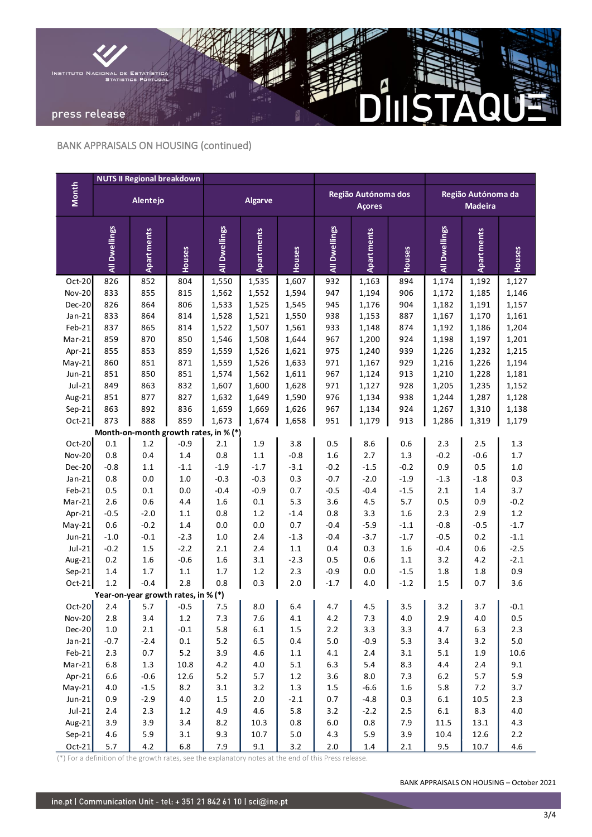

# BANK APPRAISALS ON HOUSING (continued)

|                                       | <b>NUTS II Regional breakdown</b> |                                     |            |                |              |              |                |                                      |            |                                      |                   |         |
|---------------------------------------|-----------------------------------|-------------------------------------|------------|----------------|--------------|--------------|----------------|--------------------------------------|------------|--------------------------------------|-------------------|---------|
| <b>Month</b>                          |                                   | Alentejo                            |            | <b>Algarve</b> |              |              |                | Região Autónoma dos<br><b>Açores</b> |            | Região Autónoma da<br><b>Madeira</b> |                   |         |
|                                       | All Dwellings                     | Apartments                          | Houses     | All Dwellings  | Apartments   | Houses       | All Dwellings  | <b>Apartments</b>                    | Houses     | All Dwellings                        | <b>Apartments</b> | Houses  |
| Oct-20                                | 826                               | 852                                 | 804        | 1,550          | 1,535        | 1,607        | 932            | 1,163                                | 894        | 1,174                                | 1,192             | 1,127   |
| <b>Nov-20</b>                         | 833                               | 855                                 | 815        | 1,562          | 1,552        | 1,594        | 947            | 1,194                                | 906        | 1,172                                | 1,185             | 1,146   |
| Dec-20                                | 826                               | 864                                 | 806        | 1,533          | 1,525        | 1,545        | 945            | 1,176                                | 904        | 1,182                                | 1,191             | 1,157   |
| $Jan-21$                              | 833                               | 864                                 | 814        | 1,528          | 1,521        | 1,550        | 938            | 1,153                                | 887        | 1,167                                | 1,170             | 1,161   |
| Feb-21                                | 837                               | 865                                 | 814        | 1,522          | 1,507        | 1,561        | 933            | 1,148                                | 874        | 1,192                                | 1,186             | 1,204   |
| Mar-21                                | 859                               | 870                                 | 850        | 1,546          | 1,508        | 1,644        | 967            | 1,200                                | 924        | 1,198                                | 1,197             | 1,201   |
| Apr-21                                | 855                               | 853                                 | 859        | 1,559          | 1,526        | 1,621        | 975            | 1,240                                | 939        | 1,226                                | 1,232             | 1,215   |
| $May-21$                              | 860                               | 851                                 | 871        | 1,559          | 1,526        | 1,633        | 971            | 1,167                                | 929        | 1,216                                | 1,226             | 1,194   |
| $Jun-21$                              | 851                               | 850                                 | 851        | 1,574          | 1,562        | 1,611        | 967            | 1,124                                | 913        | 1,210                                | 1,228             | 1,181   |
| $Jul-21$                              | 849                               | 863                                 | 832        | 1,607          | 1,600        | 1,628        | 971            | 1,127                                | 928        | 1,205                                | 1,235             | 1,152   |
| Aug-21                                | 851                               | 877                                 | 827        | 1,632          | 1,649        | 1,590        | 976            | 1,134                                | 938        | 1,244                                | 1,287             | 1,128   |
| $Sep-21$                              | 863                               | 892                                 | 836        | 1,659          | 1,669        | 1,626        | 967            | 1,134                                | 924        | 1,267                                | 1,310             | 1,138   |
| $Oct-21$                              | 873                               | 888                                 | 859        | 1,673          | 1,674        | 1,658        | 951            | 1,179                                | 913        | 1,286                                | 1,319             | 1,179   |
| Month-on-month growth rates, in % (*) |                                   |                                     |            |                |              |              |                |                                      |            |                                      |                   |         |
| Oct-20                                | 0.1                               | $1.2\,$                             | $-0.9$     | 2.1            | 1.9          | 3.8          | 0.5            | $8.6\,$                              | 0.6        | 2.3                                  | 2.5               | 1.3     |
| <b>Nov-20</b>                         | 0.8                               | 0.4                                 | 1.4        | 0.8            | $1.1\,$      | $-0.8$       | 1.6            | 2.7                                  | 1.3        | $-0.2$                               | $-0.6$            | $1.7\,$ |
| Dec-20                                | $-0.8$                            | $1.1\,$                             | $-1.1$     | $-1.9$         | $-1.7$       | $-3.1$       | $-0.2$         | $-1.5$                               | $-0.2$     | 0.9                                  | 0.5               | $1.0\,$ |
| $Jan-21$                              | 0.8                               | $0.0\,$                             | $1.0\,$    | $-0.3$         | $-0.3$       | 0.3          | $-0.7$         | $-2.0$                               | $-1.9$     | $-1.3$                               | $-1.8$            | 0.3     |
| Feb-21                                | 0.5                               | $0.1\,$                             | $0.0\,$    | $-0.4$         | $-0.9$       | 0.7          | $-0.5$         | $-0.4$                               | $-1.5$     | 2.1                                  | 1.4               | 3.7     |
| Mar-21                                | 2.6                               | 0.6                                 | 4.4        | 1.6            | 0.1          | 5.3          | 3.6            | $4.5\,$                              | 5.7        | 0.5                                  | 0.9               | $-0.2$  |
| Apr-21                                | $-0.5$                            | $-2.0$                              | $1.1\,$    | 0.8            | $1.2\,$      | $-1.4$       | 0.8            | 3.3                                  | $1.6\,$    | 2.3                                  | 2.9               | 1.2     |
| $May-21$                              | 0.6                               | $-0.2$                              | $1.4\,$    | $0.0\,$        | 0.0          | 0.7          | $-0.4$         | $-5.9$                               | $-1.1$     | $-0.8$                               | $-0.5$            | $-1.7$  |
| $Jun-21$                              | $-1.0$                            | $-0.1$                              | $-2.3$     | $1.0\,$        | 2.4          | $-1.3$       | $-0.4$         | $-3.7$                               | $-1.7$     | $-0.5$                               | 0.2               | $-1.1$  |
| $Jul-21$                              | $-0.2$                            | 1.5                                 | $-2.2$     | 2.1            | 2.4          | $1.1\,$      | 0.4            | 0.3                                  | $1.6\,$    | $-0.4$                               | 0.6               | $-2.5$  |
| Aug-21                                | 0.2                               | 1.6                                 | $-0.6$     | $1.6\,$        | 3.1          | $-2.3$       | 0.5            | 0.6                                  | $1.1\,$    | 3.2                                  | 4.2               | $-2.1$  |
| $Sep-21$                              | 1.4                               | 1.7                                 | $1.1\,$    | $1.7$          | $1.2\,$      | 2.3          | $-0.9$         | 0.0                                  | $-1.5$     | 1.8                                  | 1.8               | 0.9     |
| $Oct-21$                              | $1.2\,$                           | $-0.4$                              | 2.8        | 0.8            | 0.3          | 2.0          | $-1.7$         | 4.0                                  | $-1.2$     | 1.5                                  | 0.7               | 3.6     |
|                                       |                                   | Year-on-year growth rates, in % (*) |            |                |              |              |                |                                      |            |                                      |                   |         |
| $Oct-20$                              | 2.4                               | 5.7                                 | $-0.5$     | 7.5            | 8.0          | 6.4          | 4.7            | 4.5                                  | 3.5        | 3.2                                  | 3.7               | $-0.1$  |
| <b>Nov-20</b>                         | $2.8\,$                           | 3.4                                 | $1.2\,$    | 7.3            | 7.6          | 4.1          | 4.2            | $7.3\,$                              | $4.0\,$    | 2.9                                  | $4.0\,$           | 0.5     |
| $Dec-20$                              | 1.0                               | 2.1                                 | $-0.1$     | 5.8            | $6.1\,$      | 1.5          | $2.2\,$        | 3.3                                  | 3.3        | 4.7                                  | 6.3               | 2.3     |
| $Jan-21$                              | $-0.7$                            | $-2.4$                              | 0.1        | $5.2$          | $6.5\,$      | $0.4\,$      | $5.0\,$        | $-0.9$                               | 5.3        | 3.4                                  | 3.2               | $5.0\,$ |
| $Feb-21$                              | 2.3                               | 0.7                                 | $5.2$      | 3.9            | 4.6          | $1.1\,$      | $4.1\,$        | 2.4                                  | 3.1        | 5.1                                  | 1.9               | 10.6    |
| $Mar-21$                              | 6.8                               | 1.3                                 | 10.8       | 4.2            | 4.0          | 5.1          | $6.3\,$        | 5.4                                  | 8.3        | 4.4                                  | 2.4               | 9.1     |
| Apr-21                                | 6.6                               | $-0.6$                              | 12.6       | $5.2$          | 5.7          | $1.2\,$      | $3.6$          | $8.0\,$                              | 7.3        | $6.2$                                | 5.7               | 5.9     |
| $May-21$                              | 4.0                               | $-1.5$                              | 8.2        | 3.1            | 3.2          | $1.3\,$      | $1.5\,$        | $-6.6$                               | $1.6\,$    | 5.8                                  | 7.2               | 3.7     |
| $Jun-21$<br>$Jul-21$                  | 0.9                               | $-2.9$                              | $4.0\,$    | $1.5\,$        | $2.0$        | $-2.1$       | 0.7            | $-4.8$                               | 0.3        | $6.1\,$                              | 10.5              | 2.3     |
|                                       | 2.4                               | 2.3                                 | $1.2\,$    | 4.9            | 4.6          | 5.8          | 3.2            | $-2.2$                               | $2.5\,$    | $6.1\,$                              | 8.3               | $4.0\,$ |
| Aug-21                                | 3.9<br>$4.6\,$                    | 3.9<br>5.9                          | 3.4<br>3.1 | $8.2\,$<br>9.3 | 10.3<br>10.7 | 0.8<br>$5.0$ | $6.0\,$<br>4.3 | $0.8\,$<br>5.9                       | 7.9<br>3.9 | 11.5<br>10.4                         | 13.1<br>12.6      | 4.3     |
| $Sep-21$                              |                                   |                                     |            |                |              |              |                |                                      |            |                                      |                   | $2.2\,$ |
| $Oct-21$                              | $5.7$                             | 4.2                                 | $6.8\,$    | $7.9$          | 9.1          | 3.2          | $2.0\,$        | 1.4                                  | $2.1\,$    | 9.5                                  | 10.7              | 4.6     |

(\*) For a definition of the growth rates, see the explanatory notes at the end of this Press release.